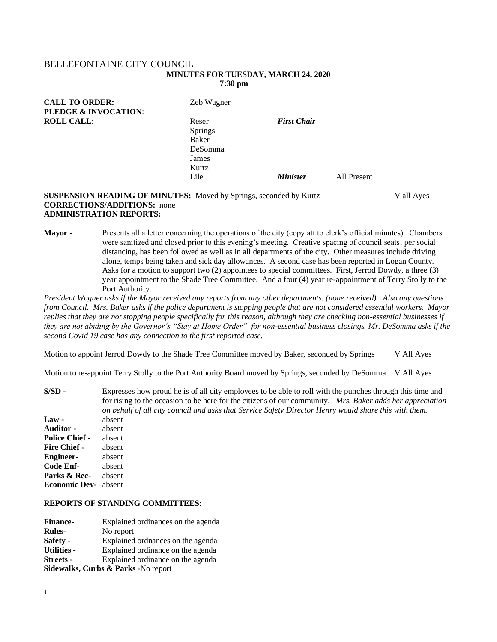# BELLEFONTAINE CITY COUNCIL **MINUTES FOR TUESDAY, MARCH 24, 2020**

**7:30 pm**

| <b>CALL TO ORDER:</b><br><b>PLEDGE &amp; INVOCATION:</b> | Zeb Wagner     |                    |             |
|----------------------------------------------------------|----------------|--------------------|-------------|
| <b>ROLL CALL:</b>                                        | Reser          | <b>First Chair</b> |             |
|                                                          | Springs        |                    |             |
|                                                          | Baker          |                    |             |
|                                                          | <b>DeSomma</b> |                    |             |
|                                                          | James          |                    |             |
|                                                          | Kurtz          |                    |             |
|                                                          | Lile           | <b>Minister</b>    | All Present |

## **SUSPENSION READING OF MINUTES:** Moved by Springs, seconded by Kurtz V all Ayes **CORRECTIONS/ADDITIONS:** none **ADMINISTRATION REPORTS:**

**Mayor -** Presents all a letter concerning the operations of the city (copy att to clerk's official minutes). Chambers were sanitized and closed prior to this evening's meeting. Creative spacing of council seats, per social distancing, has been followed as well as in all departments of the city. Other measures include driving alone, temps being taken and sick day allowances. A second case has been reported in Logan County. Asks for a motion to support two (2) appointees to special committees. First, Jerrod Dowdy, a three (3) year appointment to the Shade Tree Committee. And a four (4) year re-appointment of Terry Stolly to the Port Authority.

*President Wagner asks if the Mayor received any reports from any other departments. (none received). Also any questions from Council. Mrs. Baker asks if the police department is stopping people that are not considered essential workers. Mayor replies that they are not stopping people specifically for this reason, although they are checking non-essential businesses if they are not abiding by the Governor's "Stay at Home Order" for non-essential business closings. Mr. DeSomma asks if the second Covid 19 case has any connection to the first reported case.*

Motion to appoint Jerrod Dowdy to the Shade Tree Committee moved by Baker, seconded by Springs V All Ayes

Motion to re-appoint Terry Stolly to the Port Authority Board moved by Springs, seconded by DeSomma V All Ayes

| $S/SD -$              | Expresses how proud he is of all city employees to be able to roll with the punches through this time and |  |  |
|-----------------------|-----------------------------------------------------------------------------------------------------------|--|--|
|                       | for rising to the occasion to be here for the citizens of our community. Mrs. Baker adds her appreciation |  |  |
|                       | on behalf of all city council and asks that Service Safety Director Henry would share this with them.     |  |  |
| $Law -$               | absent                                                                                                    |  |  |
| <b>Auditor -</b>      | absent                                                                                                    |  |  |
| <b>Police Chief -</b> | absent                                                                                                    |  |  |
| <b>Fire Chief -</b>   | absent                                                                                                    |  |  |
| <b>Engineer-</b>      | absent                                                                                                    |  |  |
| Code Enf-             | absent                                                                                                    |  |  |
| Parks & Rec-          | absent                                                                                                    |  |  |
| <b>Economic Dev-</b>  | absent                                                                                                    |  |  |

# **REPORTS OF STANDING COMMITTEES:**

| <b>Finance-</b>    | Explained ordinances on the agenda  |
|--------------------|-------------------------------------|
| <b>Rules-</b>      | No report                           |
| Safety -           | Explained ordnances on the agenda   |
| <b>Utilities -</b> | Explained ordinance on the agenda   |
| Streets -          | Explained ordinance on the agenda   |
|                    | Sidewalks, Curbs & Parks -No report |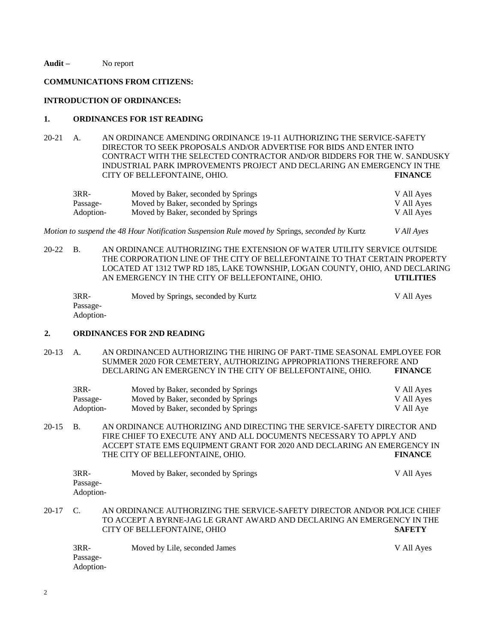**Audit –** No report

### **COMMUNICATIONS FROM CITIZENS:**

#### **INTRODUCTION OF ORDINANCES:**

## **1. ORDINANCES FOR 1ST READING**

20-21 A. AN ORDINANCE AMENDING ORDINANCE 19-11 AUTHORIZING THE SERVICE-SAFETY DIRECTOR TO SEEK PROPOSALS AND/OR ADVERTISE FOR BIDS AND ENTER INTO CONTRACT WITH THE SELECTED CONTRACTOR AND/OR BIDDERS FOR THE W. SANDUSKY INDUSTRIAL PARK IMPROVEMENTS PROJECT AND DECLARING AN EMERGENCY IN THE CITY OF BELLEFONTAINE, OHIO. **FINANCE**

| 3RR-      | Moved by Baker, seconded by Springs | V All Ayes |
|-----------|-------------------------------------|------------|
| Passage-  | Moved by Baker, seconded by Springs | V All Ayes |
| Adoption- | Moved by Baker, seconded by Springs | V All Ayes |

*Motion to suspend the 48 Hour Notification Suspension Rule moved by* Springs, *seconded by* Kurtz *V All Ayes*

20-22 B. AN ORDINANCE AUTHORIZING THE EXTENSION OF WATER UTILITY SERVICE OUTSIDE THE CORPORATION LINE OF THE CITY OF BELLEFONTAINE TO THAT CERTAIN PROPERTY LOCATED AT 1312 TWP RD 185, LAKE TOWNSHIP, LOGAN COUNTY, OHIO, AND DECLARING AN EMERGENCY IN THE CITY OF BELLEFONTAINE, OHIO. **UTILITIES**

| 3RR-      | Moved by Springs, seconded by Kurtz | V All Ayes |
|-----------|-------------------------------------|------------|
| Passage-  |                                     |            |
| Adoption- |                                     |            |

### **2. ORDINANCES FOR 2ND READING**

20-13 A. AN ORDINANCED AUTHORIZING THE HIRING OF PART-TIME SEASONAL EMPLOYEE FOR SUMMER 2020 FOR CEMETERY, AUTHORIZING APPROPRIATIONS THEREFORE AND DECLARING AN EMERGENCY IN THE CITY OF BELLEFONTAINE, OHIO. **FINANCE**

| 3RR-      | Moved by Baker, seconded by Springs | V All Ayes |
|-----------|-------------------------------------|------------|
| Passage-  | Moved by Baker, seconded by Springs | V All Ayes |
| Adoption- | Moved by Baker, seconded by Springs | V All Aye  |

20-15 B. AN ORDINANCE AUTHORIZING AND DIRECTING THE SERVICE-SAFETY DIRECTOR AND FIRE CHIEF TO EXECUTE ANY AND ALL DOCUMENTS NECESSARY TO APPLY AND ACCEPT STATE EMS EQUIPMENT GRANT FOR 2020 AND DECLARING AN EMERGENCY IN THE CITY OF BELLEFONTAINE, OHIO. **FINANCE**

| 3RR-      | Moved by Baker, seconded by Springs | V All Aves |
|-----------|-------------------------------------|------------|
| Passage-  |                                     |            |
| Adoption- |                                     |            |

20-17 C. AN ORDINANCE AUTHORIZING THE SERVICE-SAFETY DIRECTOR AND/OR POLICE CHIEF TO ACCEPT A BYRNE-JAG LE GRANT AWARD AND DECLARING AN EMERGENCY IN THE CITY OF BELLEFONTAINE, OHIO **SAFETY**

| 3RR-      | Moved by Lile, seconded James | V All Ayes |
|-----------|-------------------------------|------------|
| Passage-  |                               |            |
| Adoption- |                               |            |